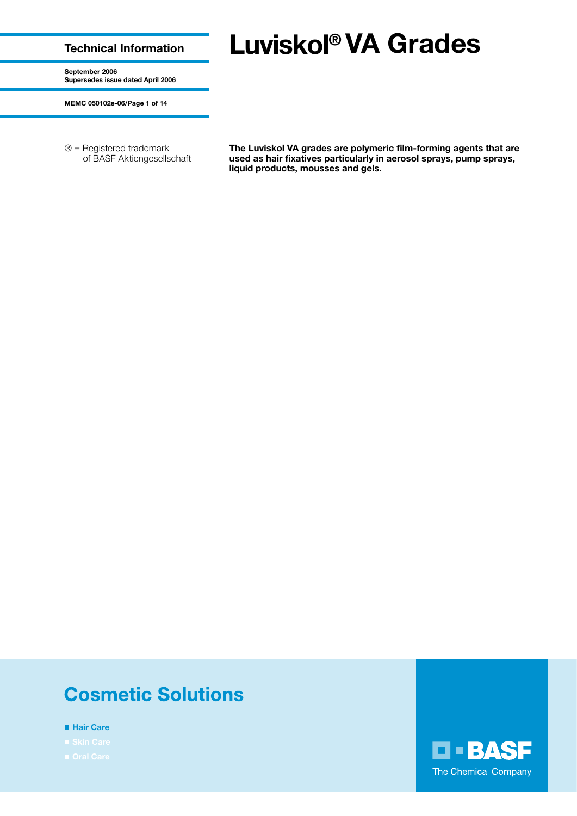### **Technical Information**

# **Luviskol® VA Grades**

**September 2006 Supersedes issue dated April 2006**

**MEMC 050102e-06/Page 1 of 14**

® = Registered trademark of BASF Aktiengesellschaft **The Luviskol VA grades are polymeric film-forming agents that are used as hair fixatives particularly in aerosol sprays, pump sprays, liquid products, mousses and gels.**

## **Cosmetic Solutions**

- **Hair Care**
- 
- 

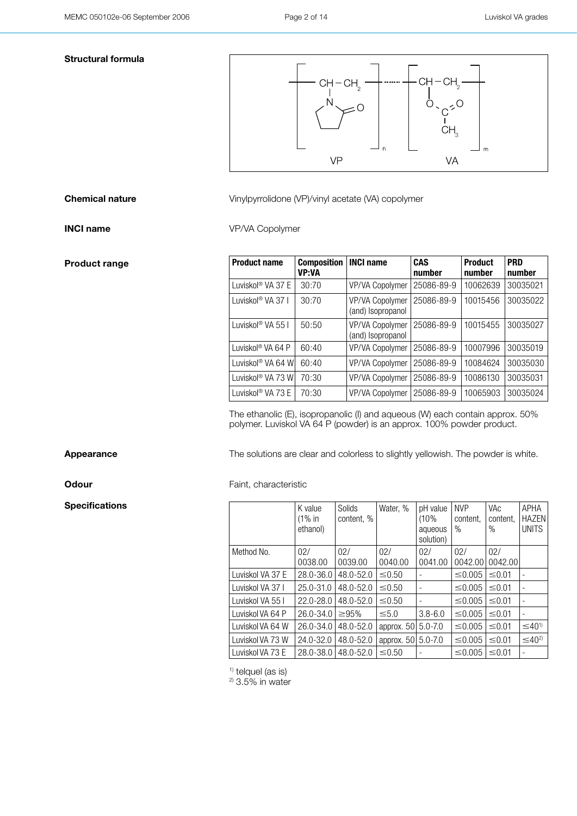### **Structural formula**



**Chemical nature** Vinylpyrrolidone (VP)/vinyl acetate (VA) copolymer

**INCI name** VP/VA Copolymer

| <b>Product name</b>           | <b>Composition</b><br><b>VP:VA</b> | <b>INCI name</b>                            | <b>CAS</b><br>number | <b>Product</b><br>number | <b>PRD</b><br>number |
|-------------------------------|------------------------------------|---------------------------------------------|----------------------|--------------------------|----------------------|
| Luviskol® VA 37 E             | 30:70                              | VP/VA Copolymer                             | 25086-89-9           | 10062639                 | 30035021             |
| Luviskol <sup>®</sup> VA 37 I | 30:70                              | VP/VA Copolymer<br>(and) Isopropanol        | 25086-89-9           | 10015456                 | 30035022             |
| Luviskol® VA 55 I             | 50:50                              | <b>VP/VA Copolymer</b><br>(and) Isopropanol | 25086-89-9           | 10015455                 | 30035027             |
| Luviskol <sup>®</sup> VA 64 P | 60:40                              | VP/VA Copolymer                             | 25086-89-9           | 10007996                 | 30035019             |
| Luviskol <sup>®</sup> VA 64 W | 60:40                              | VP/VA Copolymer                             | 25086-89-9           | 10084624                 | 30035030             |
| Luviskol® VA 73 W             | 70:30                              | <b>VP/VA Copolymer</b>                      | 25086-89-9           | 10086130                 | 30035031             |
| Luviskol® VA 73 E             | 70:30                              | VP/VA Copolymer                             | 25086-89-9           | 10065903                 | 30035024             |

The ethanolic (E), isopropanolic (I) and aqueous (W) each contain approx. 50% polymer. Luviskol VA 64 P (powder) is an approx. 100% powder product.

Appearance The solutions are clear and colorless to slightly yellowish. The powder is white.

**Odour** Faint, characteristic

|                  | K value<br>$(1\%$ in<br>ethanol) | Solids<br>content, % | Water, %       | pH value<br>(10%<br>aqueous<br>solution) | <b>NVP</b><br>content,<br>% | <b>VAc</b><br>content,<br>$\%$ | APHA<br><b>HAZEN</b><br><b>UNITS</b> |
|------------------|----------------------------------|----------------------|----------------|------------------------------------------|-----------------------------|--------------------------------|--------------------------------------|
| Method No.       | 02/<br>0038.00                   | 02/<br>0039.00       | 02/<br>0040.00 | 02/<br>0041.00                           | 02/<br>0042.00              | 02/<br>0042.00                 |                                      |
| Luviskol VA 37 E | 28.0-36.0                        | 48.0-52.0            | $\leq 0.50$    | $\qquad \qquad -$                        | $\leq 0.005$                | ≤0.01                          |                                      |
| Luviskol VA 37 I | $25.0 - 31.0$                    | 48.0-52.0            | $\leq 0.50$    | $\qquad \qquad -$                        | $\leq 0.005$                | $\leq 0.01$                    |                                      |
| Luviskol VA 55 I | $22.0 - 28.0$                    | 48.0-52.0            | $\leq 0.50$    | -                                        | $\leq 0.005$                | $\leq 0.01$                    |                                      |
| Luviskol VA 64 P | $26.0 - 34.0$                    | $\geq 95\%$          | $\leq 5.0$     | $3.8 - 6.0$                              | $\leq 0.005$                | ≤0.01                          |                                      |
| Luviskol VA 64 W | $26.0 - 34.0$                    | 48.0-52.0            | approx. 50     | $5.0 - 7.0$                              | $\leq 0.005$                | $\leq 0.01$                    | $\leq 40^{1}$                        |
| Luviskol VA 73 W | $24.0 - 32.0$                    | $48.0 - 52.0$        | approx. 50     | $5.0 - 7.0$                              | $\leq 0.005$                | $\leq 0.01$                    | $\leq 40^{2}$                        |
| Luviskol VA 73 E | 28.0-38.0                        | $48.0 - 52.0$        | $\leq 0.50$    | $\qquad \qquad -$                        | $\leq 0.005$                | $\leq 0.01$                    |                                      |

 $1)$  telquel (as is)

 $2$  3.5% in water

**Product range** 

**Specifications**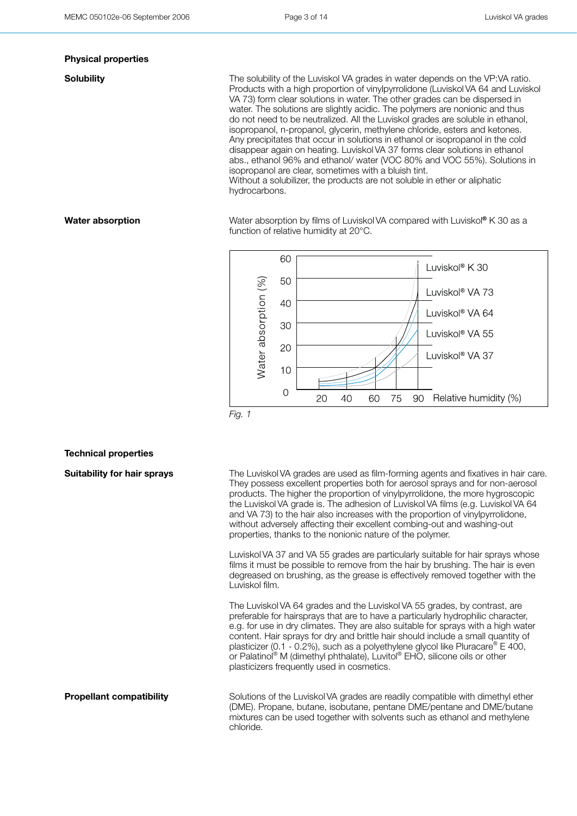### **Physical properties**

**Solubility** The solubility of the Luviskol VA grades in water depends on the VP:VA ratio. Products with a high proportion of vinylpyrrolidone (Luviskol VA 64 and Luviskol VA 73) form clear solutions in water. The other grades can be dispersed in water. The solutions are slightly acidic. The polymers are nonionic and thus do not need to be neutralized. All the Luviskol grades are soluble in ethanol, isopropanol, n-propanol, glycerin, methylene chloride, esters and ketones. Any precipitates that occur in solutions in ethanol or isopropanol in the cold disappear again on heating. Luviskol VA 37 forms clear solutions in ethanol abs., ethanol 96% and ethanol/ water (VOC 80% and VOC 55%). Solutions in isopropanol are clear, sometimes with a bluish tint. Without a solubilizer, the products are not soluble in ether or aliphatic hydrocarbons.

**Water absorption** Water absorption by films of Luviskol VA compared with Luviskol® K 30 as a function of relative humidity at 20°C.



### **Technical properties**

**Suitability for hair sprays** The Luviskol VA grades are used as film-forming agents and fixatives in hair care. They possess excellent properties both for aerosol sprays and for non-aerosol products. The higher the proportion of vinylpyrrolidone, the more hygroscopic the Luviskol VA grade is. The adhesion of Luviskol VA films (e.g. Luviskol VA 64 and VA 73) to the hair also increases with the proportion of vinylpyrrolidone, without adversely affecting their excellent combing-out and washing-out properties, thanks to the nonionic nature of the polymer.

> Luviskol VA 37 and VA 55 grades are particularly suitable for hair sprays whose films it must be possible to remove from the hair by brushing. The hair is even degreased on brushing, as the grease is effectively removed together with the Luviskol film.

The Luviskol VA 64 grades and the Luviskol VA 55 grades, by contrast, are preferable for hairsprays that are to have a particularly hydrophilic character, e.g. for use in dry climates. They are also suitable for sprays with a high water content. Hair sprays for dry and brittle hair should include a small quantity of plasticizer (0.1 - 0.2%), such as a polyethylene glycol like Pluracare<sup>®</sup> E 400, or Palatinol® M (dimethyl phthalate), Luvitol® EHO, silicone oils or other plasticizers frequently used in cosmetics.

**Propellant compatibility** Solutions of the Luviskol VA grades are readily compatible with dimethyl ether (DME). Propane, butane, isobutane, pentane DME/pentane and DME/butane mixtures can be used together with solvents such as ethanol and methylene chloride.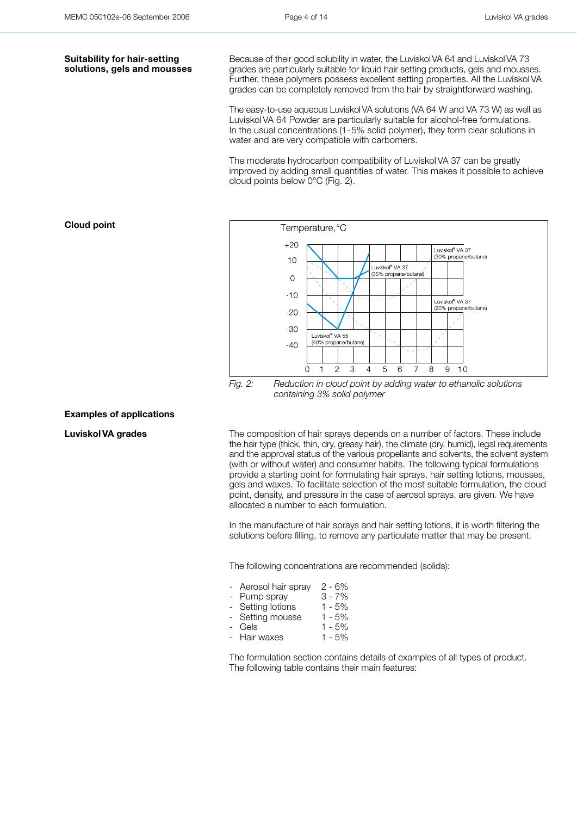### **Suitability for hair-setting solutions, gels and mousses**

Because of their good solubility in water, the LuviskolVA 64 and LuviskolVA 73 grades are particularly suitable for liquid hair setting products, gels and mousses. Further, these polymers possess excellent setting properties. All the Luviskol VA grades can be completely removed from the hair by straightforward washing.

The easy-to-use aqueous LuviskolVA solutions (VA 64 W and VA 73 W) as well as Luviskol VA 64 Powder are particularly suitable for alcohol-free formulations. In the usual concentrations (1-5% solid polymer), they form clear solutions in water and are very compatible with carbomers.

The moderate hydrocarbon compatibility of Luviskol VA 37 can be greatly improved by adding small quantities of water. This makes it possible to achieve cloud points below 0°C (Fig. 2).

### Temperature, °C  $+20$ Luviskol® VA 37 (30% propane/butane)  $10$ Luviskol<sup>®</sup> VA 37 (35% propane/buta  $\overline{0}$  $-10$ Luviskol<sup>®</sup> VA 37 (20% propane/butane)  $-20$  $-30$ Luviskol® VA 55 (40% propane/butane  $-40$  $\Omega$  $\mathbf{1}$  $\mathcal{P}$ 3  $\overline{4}$ 5 6  $\overline{7}$ 8  $\mathsf{9}$  $10$

*Fig. 2: Reduction in cloud point by adding water to ethanolic solutions containing 3% solid polymer*

### **Examples of applications**

**Luviskol VA grades** The composition of hair sprays depends on a number of factors. These include the hair type (thick, thin, dry, greasy hair), the climate (dry, humid), legal requirements and the approval status of the various propellants and solvents, the solvent system (with or without water) and consumer habits. The following typical formulations provide a starting point for formulating hair sprays, hair setting lotions, mousses, gels and waxes. To facilitate selection of the most suitable formulation, the cloud point, density, and pressure in the case of aerosol sprays, are given. We have allocated a number to each formulation.

> In the manufacture of hair sprays and hair setting lotions, it is worth filtering the solutions before filling, to remove any particulate matter that may be present.

The following concentrations are recommended (solids):

- Aerosol hair spray 2 6%
- Pump spray 3 7%
- Setting lotions 1 5%
- Setting mousse 1 5%
- Gels 1 5%
- Hair waxes 1 5%

The formulation section contains details of examples of all types of product. The following table contains their main features:

**Cloud point**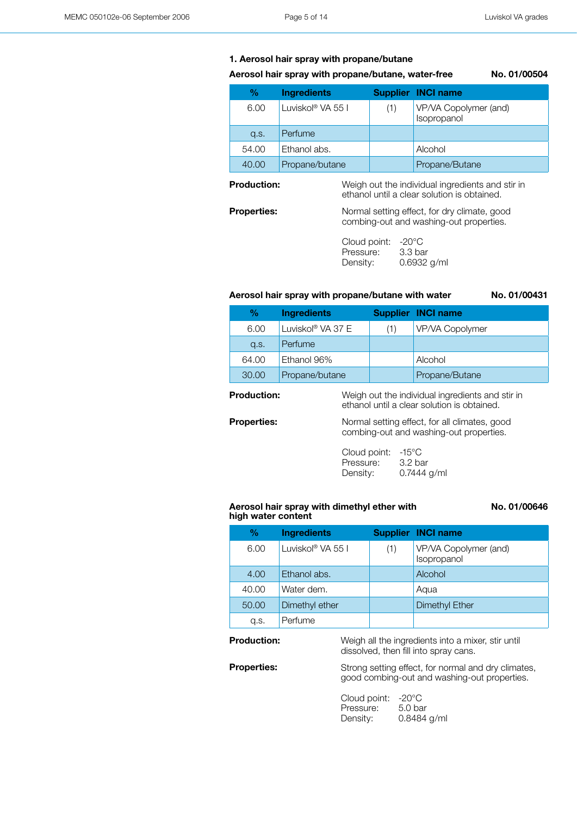### **1. Aerosol hair spray with propane/butane**

### **Aerosol hair spray with propane/butane, water-free No. 01/00504**

| ℅     | <b>Ingredients</b>            |     | <b>Supplier INCI name</b>            |
|-------|-------------------------------|-----|--------------------------------------|
| 6.00  | Luviskol <sup>®</sup> VA 55 I | (1) | VP/VA Copolymer (and)<br>Isopropanol |
| Q.S.  | Perfume                       |     |                                      |
| 54.00 | Ethanol abs.                  |     | Alcohol                              |
| 40.00 | Propane/butane                |     | Propane/Butane                       |

**Production:** Weigh out the individual ingredients and stir in ethanol until a clear solution is obtained.

combing-out and washing-out properties.

**Properties:** Normal setting effect, for dry climate, good

Cloud point: -20°C Pressure: 3.3 bar<br>Density: 0.6932 0.6932 g/ml

### **Aerosol hair spray with propane/butane with water No. 01/00431**

|                    | $\%$  | <b>Ingredients</b>                    |                                                                                          | <b>Supplier INCI name</b>                                                                       |
|--------------------|-------|---------------------------------------|------------------------------------------------------------------------------------------|-------------------------------------------------------------------------------------------------|
|                    | 6.00  | Luviskol® VA 37 E                     | (1)                                                                                      | VP/VA Copolymer                                                                                 |
|                    | Q.S.  | Perfume                               |                                                                                          |                                                                                                 |
|                    | 64.00 | Ethanol 96%                           |                                                                                          | Alcohol                                                                                         |
|                    | 30.00 | Propane/butane                        |                                                                                          | Propane/Butane                                                                                  |
| <b>Production:</b> |       |                                       |                                                                                          | Weigh out the individual ingredients and stir in<br>ethanol until a clear solution is obtained. |
| <b>Properties:</b> |       |                                       | Normal setting effect, for all climates, good<br>combing-out and washing-out properties. |                                                                                                 |
|                    |       | Cloud point:<br>Pressure:<br>Density: | -15°C                                                                                    | 3.2 bar<br>$0.7444$ g/ml                                                                        |

### **Aerosol hair spray with dimethyl ether with high water content**

**No. 01/00646**

| %     | <b>Ingredients</b> |     | <b>Supplier INCI name</b>            |
|-------|--------------------|-----|--------------------------------------|
| 6.00  | Luviskol® VA 55 L  | (1) | VP/VA Copolymer (and)<br>Isopropanol |
| 4.00  | Ethanol abs.       |     | Alcohol                              |
| 40.00 | Water dem.         |     | Agua                                 |
| 50.00 | Dimethyl ether     |     | Dimethyl Ether                       |
| q.s.  | Perfume            |     |                                      |

**Production:** Weigh all the ingredients into a mixer, stir until dissolved, then fill into spray cans.

**Properties:** Strong setting effect, for normal and dry climates, good combing-out and washing-out properties.

| Cloud point: | $-20^{\circ}$ C |
|--------------|-----------------|
| Pressure:    | 5.0 bar         |
| Density:     | 0.8484 g/ml     |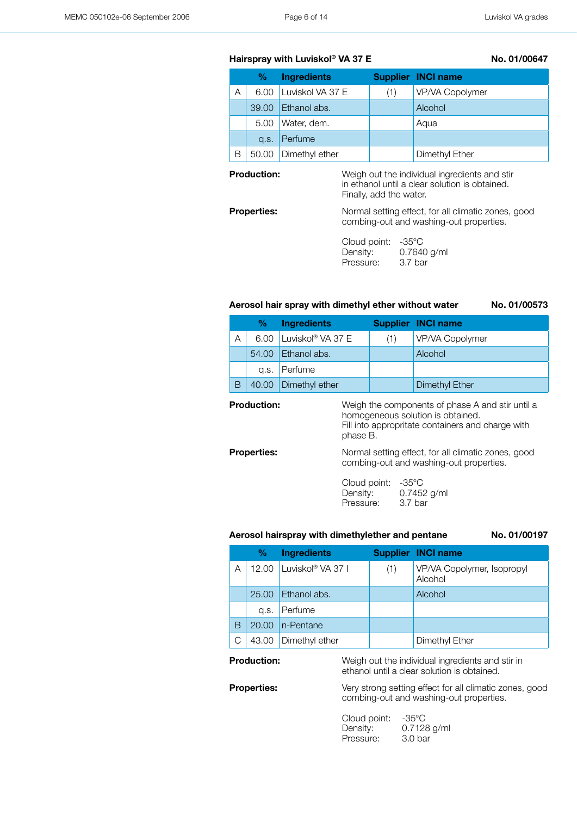### Hairspray with Luviskol<sup>®</sup> VA 37 E No. 01/00647

|   | %     | <b>Ingredients</b>    |     | <b>Supplier INCI name</b> |
|---|-------|-----------------------|-----|---------------------------|
| А |       | 6.00 Luviskol VA 37 E | (1) | VP/VA Copolymer           |
|   |       | $39.00$ Ethanol abs.  |     | Alcohol                   |
|   | 5.00  | Water, dem.           |     | Agua                      |
|   | Q.S.  | Perfume               |     |                           |
| Β | 50.00 | Dimethyl ether        |     | Dimethyl Ether            |

**Production:** Weigh out the individual ingredients and stir in ethanol until a clear solution is obtained. Finally, add the water.

combing-out and washing-out properties.

**Properties:** Normal setting effect, for all climatic zones, good

Cloud point: -35°C Density: 0.7640 g/ml Pressure: 3.7 bar

### **Aerosol hair spray with dimethyl ether without water No. 01/00573**

|   | %     | <b>Ingredients</b>                   |     | <b>Supplier INCI name</b> |
|---|-------|--------------------------------------|-----|---------------------------|
| А |       | $6.00$ Luviskol <sup>®</sup> VA 37 E | (1) | VP/VA Copolymer           |
|   |       | 54.00 Ethanol abs.                   |     | Alcohol                   |
|   |       | g.s. Perfume                         |     |                           |
| В | 40.00 | Dimethyl ether                       |     | <b>Dimethyl Ether</b>     |
|   |       |                                      |     |                           |

| <b>Production:</b> | phase B.                                                                                       | Weigh the components of phase A and stir until a<br>homogeneous solution is obtained.<br>Fill into appropritate containers and charge with |  |
|--------------------|------------------------------------------------------------------------------------------------|--------------------------------------------------------------------------------------------------------------------------------------------|--|
| <b>Properties:</b> | Normal setting effect, for all climatic zones, good<br>combing-out and washing-out properties. |                                                                                                                                            |  |
|                    | Cloud point:<br>Density:<br>Pressure:                                                          | -35°C<br>0.7452 g/ml<br>3.7 bar                                                                                                            |  |

### **Aerosol hairspray with dimethylether and pentane No. 01/00197**

| %     | <b>Ingredients</b> |     | <b>Supplier INCI name</b>             |
|-------|--------------------|-----|---------------------------------------|
| 12.00 | Luviskol® VA 37 I  | (1) | VP/VA Copolymer, Isopropyl<br>Alcohol |
| 25.00 | Ethanol abs.       |     | Alcohol                               |
| a.s.  | Perfume            |     |                                       |
| 20.00 | n-Pentane          |     |                                       |
| 43.00 | Dimethyl ether     |     | Dimethyl Ether                        |
|       |                    |     |                                       |

### **Production:** Weigh out the individual ingredients and stir in

ethanol until a clear solution is obtained.

**Properties:** Very strong setting effect for all climatic zones, good combing-out and washing-out properties.

> Cloud point: -35°C Density: 0.7128 g/ml<br>Pressure: 3.0 bar Pressure: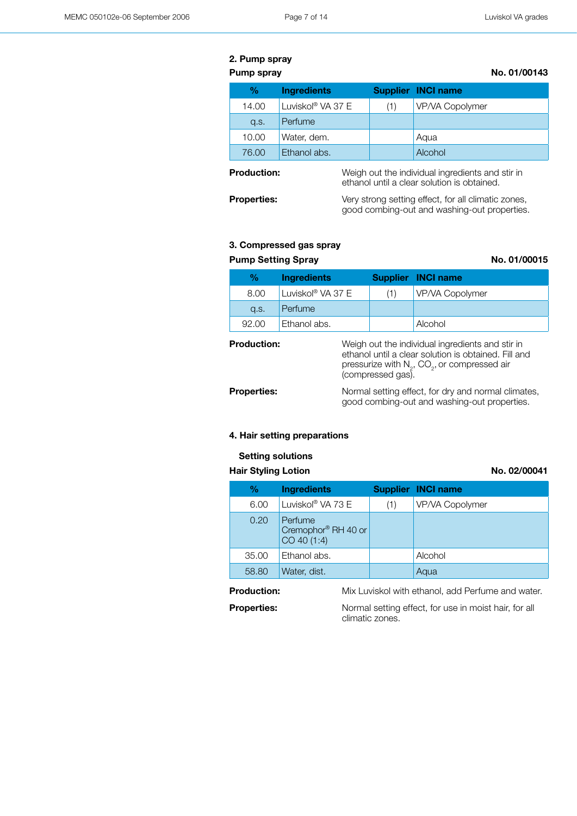### **2. Pump spray**

**Pump spray No. 01/00143** 

| %     | <b>Ingredients</b> |     | <b>Supplier INCI name</b> |
|-------|--------------------|-----|---------------------------|
| 14.00 | Luviskol® VA 37 E  | (1) | VP/VA Copolymer           |
| q.s.  | Perfume            |     |                           |
| 10.00 | Water, dem.        |     | Aqua                      |
| 76.00 | Ethanol abs.       |     | Alcohol                   |

**Production:** Weigh out the individual ingredients and stir in ethanol until a clear solution is obtained.

**Properties:** Very strong setting effect, for all climatic zones, good combing-out and washing-out properties.

### **3. Compressed gas spray**

| <b>Pump Setting Spray</b> | No. 01/00015       |     |                    |  |
|---------------------------|--------------------|-----|--------------------|--|
| %                         | <b>Ingredients</b> |     | Supplier INCI name |  |
| 8.00                      | Luviskol® VA 37 E  | (1) | VP/VA Copolymer    |  |
| q.s.                      | Perfume            |     |                    |  |
| 92.00                     | Ethanol abs.       |     | Alcohol            |  |
|                           |                    |     |                    |  |

| <b>Production:</b> | Weigh out the individual ingredients and stir in<br>ethanol until a clear solution is obtained. Fill and<br>pressurize with $N_2$ , CO <sub>2</sub> , or compressed air<br>(compressed gas). |
|--------------------|----------------------------------------------------------------------------------------------------------------------------------------------------------------------------------------------|
| <b>Properties:</b> | Normal setting effect, for dry and normal climates,<br>good combing-out and washing-out properties.                                                                                          |

### **4. Hair setting preparations**

### **Setting solutions**

### Hair Styling Lotion **No. 02/00041**

| %     | <b>Ingredients</b>                                        |     | <b>Supplier INCI name</b> |
|-------|-----------------------------------------------------------|-----|---------------------------|
| 6.00  | Luviskol® VA 73 E                                         | (1) | VP/VA Copolymer           |
| 0.20  | Perfume<br>Cremophor <sup>®</sup> RH 40 or<br>CO 40 (1:4) |     |                           |
| 35.00 | Ethanol abs.                                              |     | Alcohol                   |
| 58.80 | Water, dist.                                              |     | Aqua                      |

**Production:** Mix Luviskol with ethanol, add Perfume and water.

**Properties:** Normal setting effect, for use in moist hair, for all climatic zones.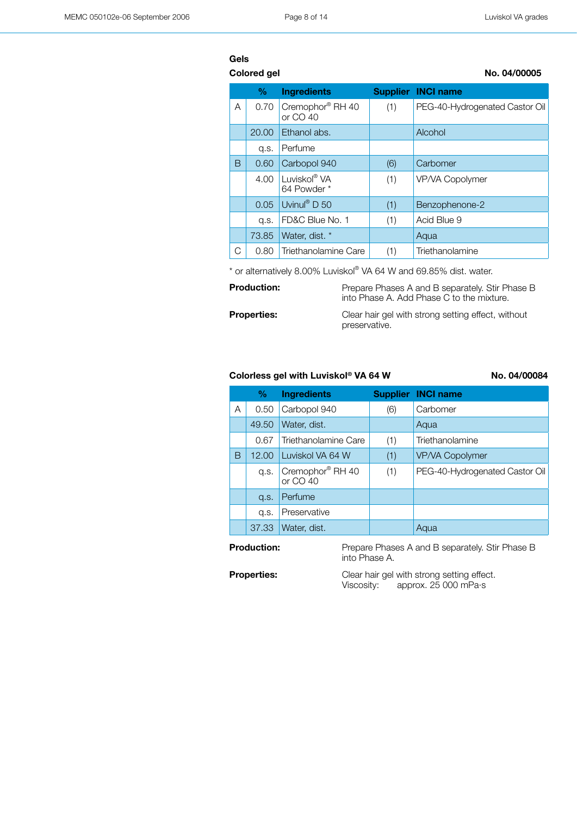|   | <b>Colored gel</b> |                                         |     | No. 04/00005                   |
|---|--------------------|-----------------------------------------|-----|--------------------------------|
|   | %                  | <b>Ingredients</b>                      |     | <b>Supplier INCI name</b>      |
| A | 0.70               | Cremophor® RH 40<br>or $CO$ 40          | (1) | PEG-40-Hydrogenated Castor Oil |
|   | 20.00              | Ethanol abs.                            |     | Alcohol                        |
|   | q.s.               | Perfume                                 |     |                                |
| B | 0.60               | Carbopol 940                            | (6) | Carbomer                       |
|   | 4.00               | Luviskol <sup>®</sup> VA<br>64 Powder * | (1) | VP/VA Copolymer                |
|   | 0.05               | Uvinul <sup>®</sup> D 50                | (1) | Benzophenone-2                 |
|   | q.s.               | FD&C Blue No. 1                         | (1) | Acid Blue 9                    |
|   | 73.85              | Water, dist. *                          |     | Aqua                           |
| С | 0.80               | Triethanolamine Care                    | (1) | Triethanolamine                |

\* or alternatively 8.00% Luviskol® VA 64 W and 69.85% dist. water.

| <b>Production:</b> | Prepare Phases A and B separately. Stir Phase B<br>into Phase A. Add Phase C to the mixture. |
|--------------------|----------------------------------------------------------------------------------------------|
| <b>Properties:</b> | Clear hair gel with strong setting effect, without<br>preservative.                          |

### Colorless gel with Luviskol<sup>®</sup> VA 64 W No. 04/00084

|   | $\%$  | <b>Ingredients</b>                       |     | <b>Supplier INCI name</b>      |
|---|-------|------------------------------------------|-----|--------------------------------|
| Α | 0.50  | Carbopol 940                             | (6) | Carbomer                       |
|   | 49.50 | Water, dist.                             |     | Aqua                           |
|   | 0.67  | Triethanolamine Care                     | (1) | Triethanolamine                |
| В | 12.00 | Luviskol VA 64 W                         | (1) | VP/VA Copolymer                |
|   | a.s.  | Cremophor <sup>®</sup> RH 40<br>or CO 40 | (1) | PEG-40-Hydrogenated Castor Oil |
|   | Q.S.  | Perfume                                  |     |                                |
|   | a.s.  | Preservative                             |     |                                |
|   | 37.33 | Water, dist.                             |     | Aqua                           |
|   |       |                                          |     |                                |

**Production:** Prepare Phases A and B separately. Stir Phase B into Phase A.

**Properties:** Clear hair gel with strong setting effect.<br>Viscosity: approx. 25 000 mPa·s approx. 25 000 mPa·s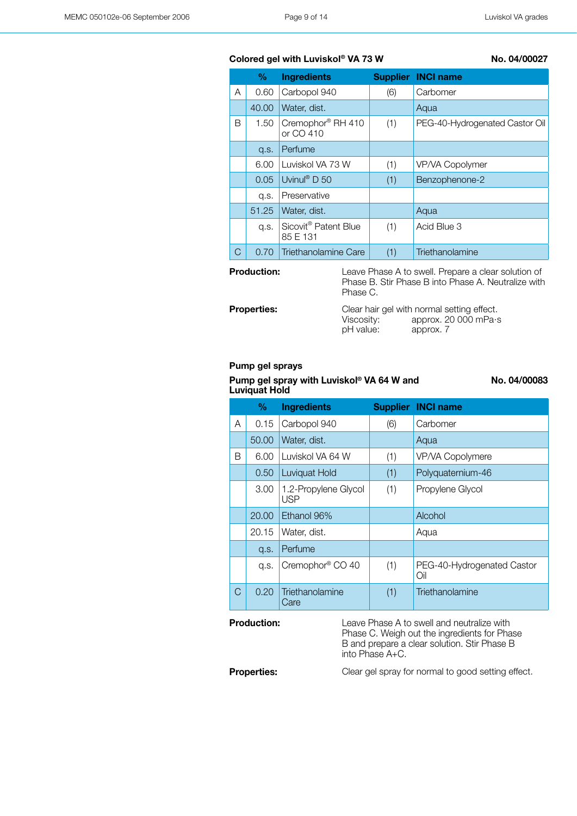### Colored gel with Luviskol<sup>®</sup> VA 73 W No. 04/00027

|   | $\%$  | <b>Ingredients</b>                           |     | <b>Supplier INCI name</b>      |
|---|-------|----------------------------------------------|-----|--------------------------------|
| A | 0.60  | Carbopol 940                                 | (6) | Carbomer                       |
|   | 40.00 | Water, dist.                                 |     | Aqua                           |
| В | 1.50  | Cremophor <sup>®</sup> RH 410<br>or CO 410   | (1) | PEG-40-Hydrogenated Castor Oil |
|   | Q.S.  | Perfume                                      |     |                                |
|   | 6.00  | Luviskol VA 73 W                             | (1) | VP/VA Copolymer                |
|   | 0.05  | Uvinul <sup>®</sup> D 50                     | (1) | Benzophenone-2                 |
|   | a.s.  | Preservative                                 |     |                                |
|   | 51.25 | Water, dist.                                 |     | Aqua                           |
|   | q.s.  | Sicovit <sup>®</sup> Patent Blue<br>85 E 131 | (1) | Acid Blue 3                    |
| С | 0.70  | Triethanolamine Care                         | (1) | Triethanolamine                |

**Production:** Leave Phase A to swell. Prepare a clear solution of Phase B. Stir Phase B into Phase A. Neutralize with Phase C.

**Properties:** Clear hair gel with normal setting effect.<br>Viscosity: approx. 20 000 mPa·s Viscosity: approx. 20 000 mPa·s<br>pH value: approx. 7 approx. 7

### **Pump gel sprays**

**Pump gel spray with Luviskol® VA 64 W and Luviquat Hold**

**No. 04/00083**

|               | %     | <b>Ingredients</b>                 |     | <b>Supplier INCI name</b>         |
|---------------|-------|------------------------------------|-----|-----------------------------------|
| A             | 0.15  | Carbopol 940                       | (6) | Carbomer                          |
|               | 50.00 | Water, dist.                       |     | Aqua                              |
| B             | 6.00  | Luviskol VA 64 W                   | (1) | VP/VA Copolymere                  |
|               | 0.50  | Luviquat Hold                      | (1) | Polyquaternium-46                 |
|               | 3.00  | 1.2-Propylene Glycol<br><b>USP</b> | (1) | Propylene Glycol                  |
|               | 20,00 | Ethanol 96%                        |     | Alcohol                           |
|               | 20.15 | Water, dist.                       |     | Aqua                              |
|               | Q.S.  | Perfume                            |     |                                   |
|               | q.s.  | Cremophor <sup>®</sup> CO 40       | (1) | PEG-40-Hydrogenated Castor<br>Oil |
| $\mathcal{C}$ | 0.20  | Triethanolamine<br>Care            | (1) | Triethanolamine                   |

**Production:** Leave Phase A to swell and neutralize with Phase C. Weigh out the ingredients for Phase B and prepare a clear solution. Stir Phase B into Phase A+C.

**Properties:** Clear gel spray for normal to good setting effect.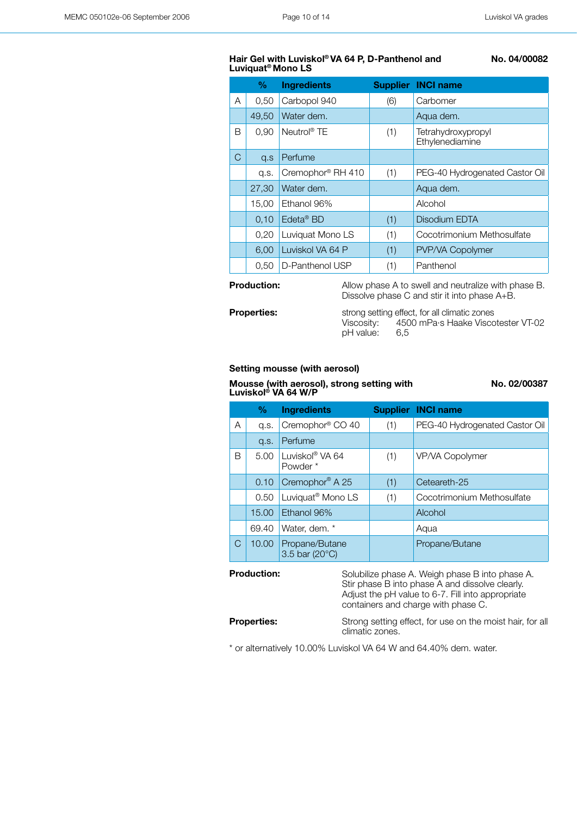### **Hair Gel with Luviskol® VA 64 P, D-Panthenol and Luviquat® Mono LS**

 **No. 04/00082**

|   | %     | <b>Ingredients</b>       |     | <b>Supplier INCI name</b>             |
|---|-------|--------------------------|-----|---------------------------------------|
| A | 0,50  | Carbopol 940             | (6) | Carbomer                              |
|   | 49,50 | Water dem.               |     | Aqua dem.                             |
| B | 0.90  | Neutrol <sup>®</sup> TE  | (1) | Tetrahydroxypropyl<br>Ethylenediamine |
| C | Q.S   | Perfume                  |     |                                       |
|   | q.s.  | Cremophor® RH 410        | (1) | PEG-40 Hydrogenated Castor Oil        |
|   | 27,30 | Water dem.               |     | Aqua dem.                             |
|   | 15,00 | Ethanol 96%              |     | Alcohol                               |
|   | 0,10  | $E$ deta <sup>®</sup> BD | (1) | Disodium EDTA                         |
|   | 0,20  | Luviquat Mono LS         | (1) | Cocotrimonium Methosulfate            |
|   | 6,00  | Luviskol VA 64 P         | (1) | PVP/VA Copolymer                      |
|   | 0,50  | D-Panthenol USP          | (1) | Panthenol                             |
|   |       |                          |     |                                       |

**Production:** Allow phase A to swell and neutralize with phase B. Dissolve phase C and stir it into phase A+B. **Properties:** strong setting effect, for all climatic zones Viscosity: 4500 mPa·s Haake Viscotester VT-02<br>pH value: 6,5 pH value:

### **Setting mousse (with aerosol)**

**Mousse (with aerosol), strong setting with Luviskol® VA 64 W/P**

**No. 02/00387**

|   | %     | <b>Ingredients</b>                     |     | <b>Supplier INCI name</b>      |
|---|-------|----------------------------------------|-----|--------------------------------|
| A | q.s.  | Cremophor <sup>®</sup> CO 40           | (1) | PEG-40 Hydrogenated Castor Oil |
|   | q.s.  | Perfume                                |     |                                |
| B | 5.00  | Luviskol <sup>®</sup> VA 64<br>Powder* | (1) | VP/VA Copolymer                |
|   | 0.10  | Cremophor <sup>®</sup> A 25            | (1) | Ceteareth-25                   |
|   | 0.50  | Luviquat <sup>®</sup> Mono LS          | (1) | Cocotrimonium Methosulfate     |
|   | 15.00 | Ethanol 96%                            |     | Alcohol                        |
|   | 69.40 | Water, dem. *                          |     | Aqua                           |
| C | 10.00 | Propane/Butane<br>3.5 bar (20°C)       |     | Propane/Butane                 |

**Production:** Solubilize phase A. Weigh phase B into phase A. Stir phase B into phase A and dissolve clearly. Adjust the pH value to 6-7. Fill into appropriate containers and charge with phase C.

**Properties:** Strong setting effect, for use on the moist hair, for all climatic zones.

\* or alternatively 10.00% Luviskol VA 64 W and 64.40% dem. water.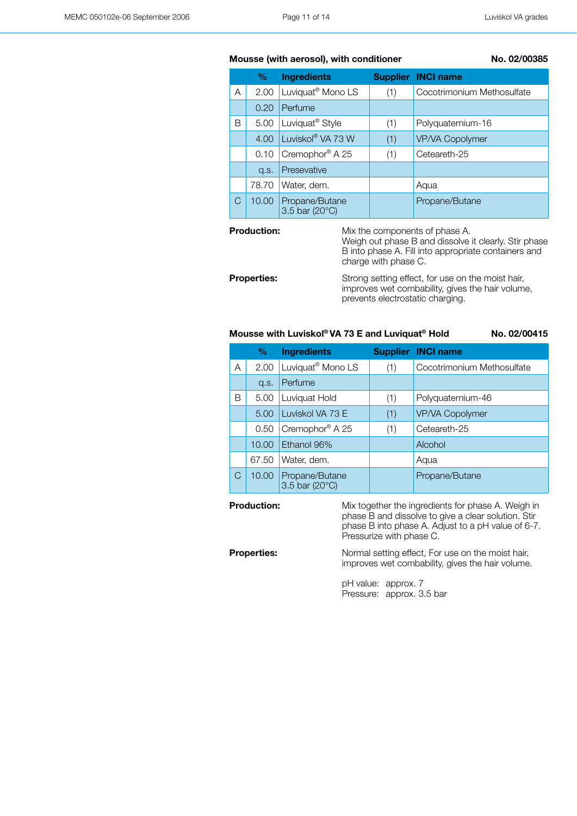### **Mousse (with aerosol), with conditioner No. 02/00385**

|   | %     | <b>Ingredients</b>               |     | <b>Supplier INCI name</b>  |
|---|-------|----------------------------------|-----|----------------------------|
| A | 2.00  | Luviquat <sup>®</sup> Mono LS    | (1) | Cocotrimonium Methosulfate |
|   | 0.20  | Perfume                          |     |                            |
| В | 5.00  | Luviquat <sup>®</sup> Style      | (1) | Polyguaternium-16          |
|   | 4.00  | Luviskol® VA 73 W                | (1) | <b>VP/VA Copolymer</b>     |
|   | 0.10  | Cremophor <sup>®</sup> A 25      | (1) | Ceteareth-25               |
|   | Q.S.  | Presevative                      |     |                            |
|   | 78.70 | Water, dem.                      |     | Aqua                       |
| С | 10.00 | Propane/Butane<br>3.5 bar (20°C) |     | Propane/Butane             |

**Production:** Mix the components of phase A.

Weigh out phase B and dissolve it clearly. Stir phase B into phase A. Fill into appropriate containers and charge with phase C.

**Properties:** Strong setting effect, for use on the moist hair, improves wet combability, gives the hair volume, prevents electrostatic charging.

### **Mousse with Luviskol® VA 73 E and Luviquat® Hold Mo. 02/00415**

**% Ingredients Supplier INCI name** A 2.00 Luviquat<sup>®</sup> Mono LS (1) Cocotrimonium Methosulfate q.s. Perfume B 5.00 Luviquat Hold (1) Polyquaternium-46 5.00 Luviskol VA 73 E (1) VP/VA Copolymer 0.50 Cremophor® A 25 (1) Ceteareth-25 10.00 Ethanol 96% and alcohol 67.50 Water, dem. C 10.00 Propane/Butane Propane/Butane

3.5 bar (20°C)

**Production:** Mix together the ingredients for phase A. Weigh in phase B and dissolve to give a clear solution. Stir phase B into phase A. Adjust to a pH value of 6-7. Pressurize with phase C.

**Properties:** Normal setting effect, For use on the moist hair, improves wet combability, gives the hair volume.

> pH value: approx. 7 Pressure: approx. 3.5 bar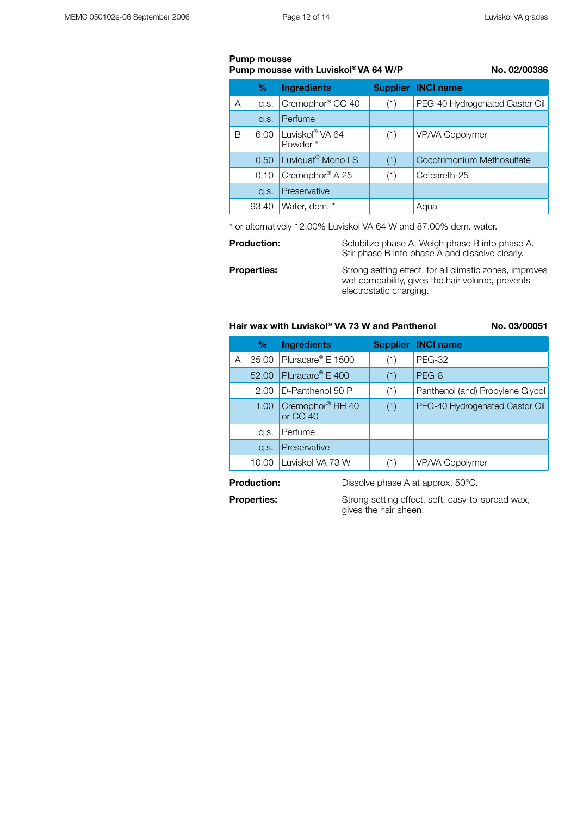### **Pump mousse**

### **Pump mousse with Luviskol® VA 64 W/P No. 02/00386**

|   | %     | <b>Ingredients</b>            |     | <b>Supplier INCI name</b>      |
|---|-------|-------------------------------|-----|--------------------------------|
| Α | a.s.  | Cremophor <sup>®</sup> CO 40  | (1) | PEG-40 Hydrogenated Castor Oil |
|   | Q.S.  | Perfume                       |     |                                |
| В | 6.00  | Luviskol® VA 64<br>Powder*    | (1) | VP/VA Copolymer                |
|   | 0.50  | Luviquat <sup>®</sup> Mono LS | (1) | Cocotrimonium Methosulfate     |
|   | 0.10  | Cremophor <sup>®</sup> A 25   | (1) | Ceteareth-25                   |
|   | Q.S.  | Preservative                  |     |                                |
|   | 93.40 | Water, dem. *                 |     | Aqua                           |

\* or alternatively 12.00% Luviskol VA 64 W and 87.00% dem. water.

**Production:** Solubilize phase A. Weigh phase B into phase A. Stir phase B into phase A and dissolve clearly.

**Properties:** Strong setting effect, for all climatic zones, improves wet combability, gives the hair volume, prevents electrostatic charging.

### **Hair wax with Luviskol® VA 73 W and Panthenol No. 03/00051**

|   | %     | <b>Ingredients</b>                       |     | <b>Supplier INCI name</b>        |
|---|-------|------------------------------------------|-----|----------------------------------|
| Α | 35.00 | Pluracare <sup>®</sup> E 1500            | (1) | <b>PEG-32</b>                    |
|   | 52.00 | Pluracare <sup>®</sup> E 400             | (1) | PEG-8                            |
|   | 2.00  | D-Panthenol 50 P                         | (1) | Panthenol (and) Propylene Glycol |
|   | 1.00  | Cremophor <sup>®</sup> RH 40<br>or CO 40 | (1) | PEG-40 Hydrogenated Castor Oil   |
|   | q.s.  | Perfume                                  |     |                                  |
|   | Q.S.  | Preservative                             |     |                                  |
|   | 10.00 | Luviskol VA 73 W                         | (1) | VP/VA Copolymer                  |

**Production:** Dissolve phase A at approx. 50°C.

**Properties:** Strong setting effect, soft, easy-to-spread wax, gives the hair sheen.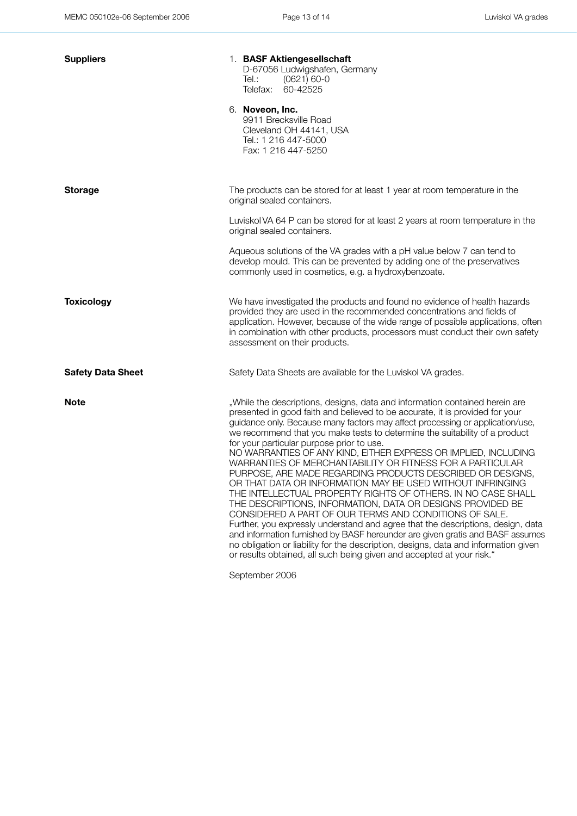| <b>Suppliers</b>         | 1. BASF Aktiengesellschaft<br>D-67056 Ludwigshafen, Germany<br>Tel.:<br>$(0621) 60-0$<br>Telefax:<br>60-42525<br>6. Noveon, Inc.<br>9911 Brecksville Road<br>Cleveland OH 44141, USA<br>Tel.: 1 216 447-5000<br>Fax: 1 216 447-5250                                                                                                                                                                                                                                                                                                                                                                                                                                                                                                                                                                                                                                                                                                                                                                                                                                                                                                                             |
|--------------------------|-----------------------------------------------------------------------------------------------------------------------------------------------------------------------------------------------------------------------------------------------------------------------------------------------------------------------------------------------------------------------------------------------------------------------------------------------------------------------------------------------------------------------------------------------------------------------------------------------------------------------------------------------------------------------------------------------------------------------------------------------------------------------------------------------------------------------------------------------------------------------------------------------------------------------------------------------------------------------------------------------------------------------------------------------------------------------------------------------------------------------------------------------------------------|
| <b>Storage</b>           | The products can be stored for at least 1 year at room temperature in the<br>original sealed containers.                                                                                                                                                                                                                                                                                                                                                                                                                                                                                                                                                                                                                                                                                                                                                                                                                                                                                                                                                                                                                                                        |
|                          | Luviskol VA 64 P can be stored for at least 2 years at room temperature in the<br>original sealed containers.                                                                                                                                                                                                                                                                                                                                                                                                                                                                                                                                                                                                                                                                                                                                                                                                                                                                                                                                                                                                                                                   |
|                          | Aqueous solutions of the VA grades with a pH value below 7 can tend to<br>develop mould. This can be prevented by adding one of the preservatives<br>commonly used in cosmetics, e.g. a hydroxybenzoate.                                                                                                                                                                                                                                                                                                                                                                                                                                                                                                                                                                                                                                                                                                                                                                                                                                                                                                                                                        |
| <b>Toxicology</b>        | We have investigated the products and found no evidence of health hazards<br>provided they are used in the recommended concentrations and fields of<br>application. However, because of the wide range of possible applications, often<br>in combination with other products, processors must conduct their own safety<br>assessment on their products.                                                                                                                                                                                                                                                                                                                                                                                                                                                                                                                                                                                                                                                                                                                                                                                                         |
| <b>Safety Data Sheet</b> | Safety Data Sheets are available for the Luviskol VA grades.                                                                                                                                                                                                                                                                                                                                                                                                                                                                                                                                                                                                                                                                                                                                                                                                                                                                                                                                                                                                                                                                                                    |
| <b>Note</b>              | "While the descriptions, designs, data and information contained herein are<br>presented in good faith and believed to be accurate, it is provided for your<br>guidance only. Because many factors may affect processing or application/use,<br>we recommend that you make tests to determine the suitability of a product<br>for your particular purpose prior to use.<br>NO WARRANTIES OF ANY KIND, EITHER EXPRESS OR IMPLIED, INCLUDING<br>WARRANTIES OF MERCHANTABILITY OR FITNESS FOR A PARTICULAR<br>PURPOSE, ARE MADE REGARDING PRODUCTS DESCRIBED OR DESIGNS,<br>OR THAT DATA OR INFORMATION MAY BE USED WITHOUT INFRINGING<br>THE INTELLECTUAL PROPERTY RIGHTS OF OTHERS. IN NO CASE SHALL<br>THE DESCRIPTIONS, INFORMATION, DATA OR DESIGNS PROVIDED BE<br>CONSIDERED A PART OF OUR TERMS AND CONDITIONS OF SALE.<br>Further, you expressly understand and agree that the descriptions, design, data<br>and information furnished by BASF hereunder are given gratis and BASF assumes<br>no obligation or liability for the description, designs, data and information given<br>or results obtained, all such being given and accepted at your risk." |

September 2006